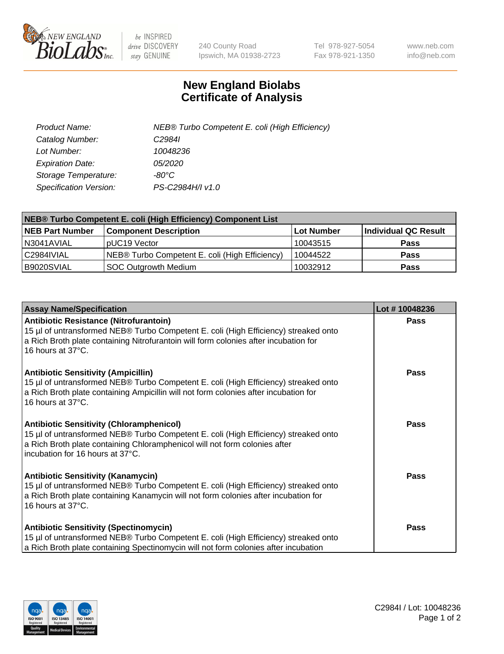

 $be$  INSPIRED drive DISCOVERY stay GENUINE

240 County Road Ipswich, MA 01938-2723 Tel 978-927-5054 Fax 978-921-1350 www.neb.com info@neb.com

## **New England Biolabs Certificate of Analysis**

| Product Name:           | NEB® Turbo Competent E. coli (High Efficiency) |
|-------------------------|------------------------------------------------|
| Catalog Number:         | C <sub>2984</sub>                              |
| Lot Number:             | 10048236                                       |
| <b>Expiration Date:</b> | <i>05/2020</i>                                 |
| Storage Temperature:    | -80°C                                          |
| Specification Version:  | PS-C2984H/I v1.0                               |

| NEB® Turbo Competent E. coli (High Efficiency) Component List |                                                |            |                      |  |
|---------------------------------------------------------------|------------------------------------------------|------------|----------------------|--|
| <b>NEB Part Number</b>                                        | <b>Component Description</b>                   | Lot Number | Individual QC Result |  |
| N3041AVIAL                                                    | pUC19 Vector                                   | 10043515   | <b>Pass</b>          |  |
| C2984IVIAL                                                    | NEB® Turbo Competent E. coli (High Efficiency) | 10044522   | <b>Pass</b>          |  |
| B9020SVIAL                                                    | <b>SOC Outgrowth Medium</b>                    | 10032912   | <b>Pass</b>          |  |

| <b>Assay Name/Specification</b>                                                                                                                                                                                                                          | Lot #10048236 |
|----------------------------------------------------------------------------------------------------------------------------------------------------------------------------------------------------------------------------------------------------------|---------------|
| Antibiotic Resistance (Nitrofurantoin)<br>15 µl of untransformed NEB® Turbo Competent E. coli (High Efficiency) streaked onto<br>a Rich Broth plate containing Nitrofurantoin will form colonies after incubation for<br>16 hours at 37°C.               | <b>Pass</b>   |
| <b>Antibiotic Sensitivity (Ampicillin)</b><br>15 µl of untransformed NEB® Turbo Competent E. coli (High Efficiency) streaked onto<br>a Rich Broth plate containing Ampicillin will not form colonies after incubation for<br>16 hours at 37°C.           | Pass          |
| <b>Antibiotic Sensitivity (Chloramphenicol)</b><br>15 µl of untransformed NEB® Turbo Competent E. coli (High Efficiency) streaked onto<br>a Rich Broth plate containing Chloramphenicol will not form colonies after<br>incubation for 16 hours at 37°C. | Pass          |
| <b>Antibiotic Sensitivity (Kanamycin)</b><br>15 µl of untransformed NEB® Turbo Competent E. coli (High Efficiency) streaked onto<br>a Rich Broth plate containing Kanamycin will not form colonies after incubation for<br>16 hours at 37°C.             | Pass          |
| <b>Antibiotic Sensitivity (Spectinomycin)</b><br>15 µl of untransformed NEB® Turbo Competent E. coli (High Efficiency) streaked onto<br>a Rich Broth plate containing Spectinomycin will not form colonies after incubation                              | Pass          |